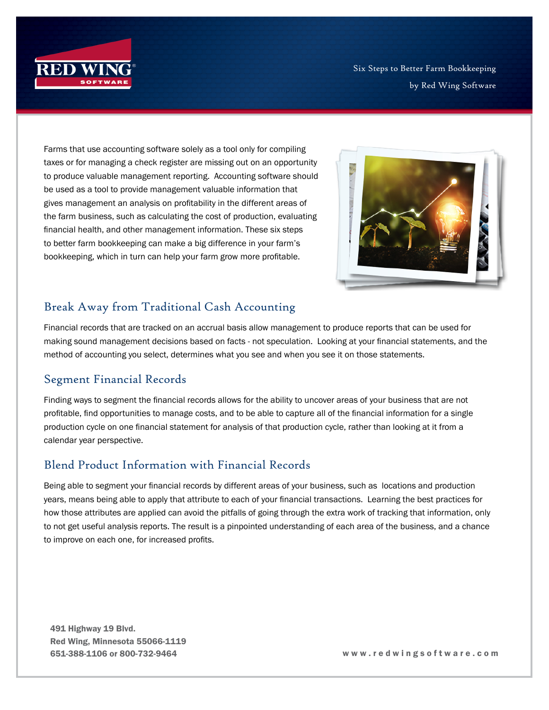

Six Steps to Better Farm Bookkeeping by Red Wing Software

Farms that use accounting software solely as a tool only for compiling taxes or for managing a check register are missing out on an opportunity to produce valuable management reporting. Accounting software should be used as a tool to provide management valuable information that gives management an analysis on profitability in the different areas of the farm business, such as calculating the cost of production, evaluating financial health, and other management information. These six steps to better farm bookkeeping can make a big difference in your farm's bookkeeping, which in turn can help your farm grow more profitable.



## Break Away from Traditional Cash Accounting

Financial records that are tracked on an accrual basis allow management to produce reports that can be used for making sound management decisions based on facts - not speculation. Looking at your financial statements, and the method of accounting you select, determines what you see and when you see it on those statements.

## Segment Financial Records

Finding ways to segment the financial records allows for the ability to uncover areas of your business that are not profitable, find opportunities to manage costs, and to be able to capture all of the financial information for a single production cycle on one financial statement for analysis of that production cycle, rather than looking at it from a calendar year perspective.

## Blend Product Information with Financial Records

Being able to segment your financial records by different areas of your business, such as locations and production years, means being able to apply that attribute to each of your financial transactions. Learning the best practices for how those attributes are applied can avoid the pitfalls of going through the extra work of tracking that information, only to not get useful analysis reports. The result is a pinpointed understanding of each area of the business, and a chance to improve on each one, for increased profits.

491 Highway 19 Blvd. Red Wing, Minnesota 55066-1119